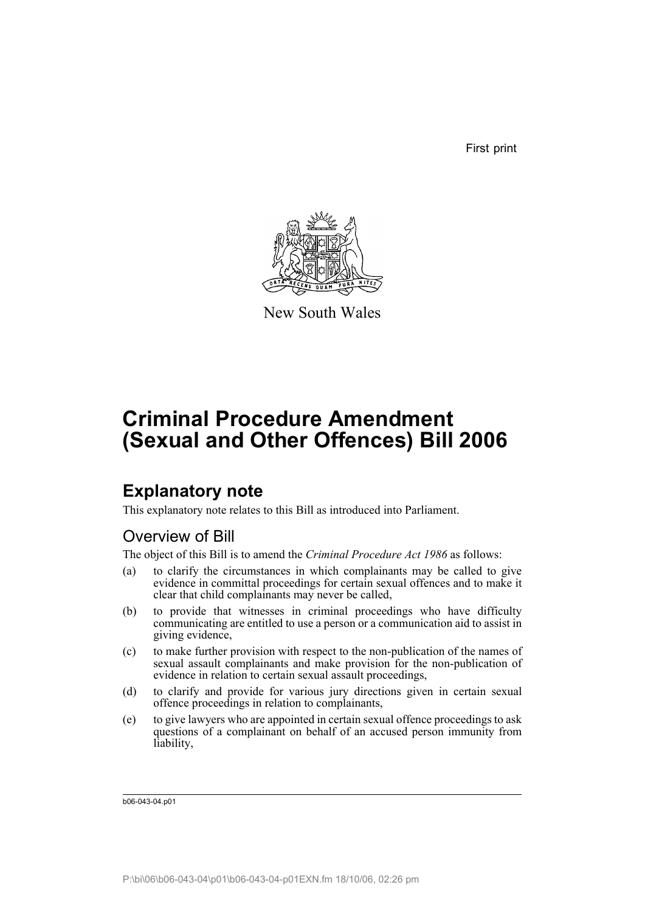First print



New South Wales

# **Criminal Procedure Amendment (Sexual and Other Offences) Bill 2006**

## **Explanatory note**

This explanatory note relates to this Bill as introduced into Parliament.

## Overview of Bill

The object of this Bill is to amend the *Criminal Procedure Act 1986* as follows:

- (a) to clarify the circumstances in which complainants may be called to give evidence in committal proceedings for certain sexual offences and to make it clear that child complainants may never be called,
- (b) to provide that witnesses in criminal proceedings who have difficulty communicating are entitled to use a person or a communication aid to assist in giving evidence,
- (c) to make further provision with respect to the non-publication of the names of sexual assault complainants and make provision for the non-publication of evidence in relation to certain sexual assault proceedings,
- (d) to clarify and provide for various jury directions given in certain sexual offence proceedings in relation to complainants,
- (e) to give lawyers who are appointed in certain sexual offence proceedings to ask questions of a complainant on behalf of an accused person immunity from liability.

b06-043-04.p01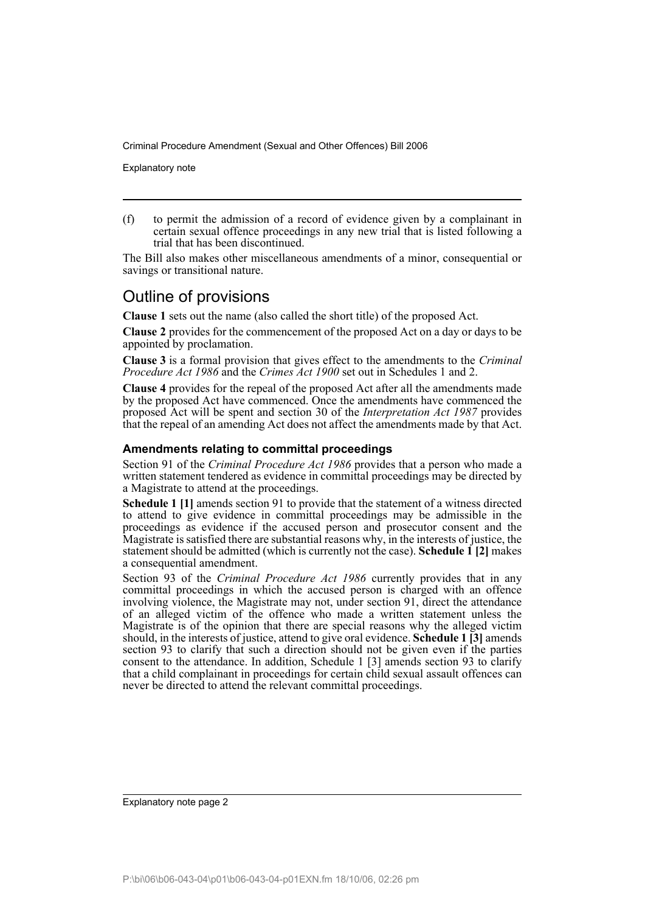Explanatory note

(f) to permit the admission of a record of evidence given by a complainant in certain sexual offence proceedings in any new trial that is listed following a trial that has been discontinued.

The Bill also makes other miscellaneous amendments of a minor, consequential or savings or transitional nature.

## Outline of provisions

**Clause 1** sets out the name (also called the short title) of the proposed Act.

**Clause 2** provides for the commencement of the proposed Act on a day or days to be appointed by proclamation.

**Clause 3** is a formal provision that gives effect to the amendments to the *Criminal Procedure Act 1986* and the *Crimes Act 1900* set out in Schedules 1 and 2.

**Clause 4** provides for the repeal of the proposed Act after all the amendments made by the proposed Act have commenced. Once the amendments have commenced the proposed Act will be spent and section 30 of the *Interpretation Act 1987* provides that the repeal of an amending Act does not affect the amendments made by that Act.

#### **Amendments relating to committal proceedings**

Section 91 of the *Criminal Procedure Act 1986* provides that a person who made a written statement tendered as evidence in committal proceedings may be directed by a Magistrate to attend at the proceedings.

**Schedule 1 [1]** amends section 91 to provide that the statement of a witness directed to attend to give evidence in committal proceedings may be admissible in the proceedings as evidence if the accused person and prosecutor consent and the Magistrate is satisfied there are substantial reasons why, in the interests of justice, the statement should be admitted (which is currently not the case). **Schedule 1 [2]** makes a consequential amendment.

Section 93 of the *Criminal Procedure Act 1986* currently provides that in any committal proceedings in which the accused person is charged with an offence involving violence, the Magistrate may not, under section 91, direct the attendance of an alleged victim of the offence who made a written statement unless the Magistrate is of the opinion that there are special reasons why the alleged victim should, in the interests of justice, attend to give oral evidence. **Schedule 1 [3]** amends section 93 to clarify that such a direction should not be given even if the parties consent to the attendance. In addition, Schedule 1 [3] amends section 93 to clarify that a child complainant in proceedings for certain child sexual assault offences can never be directed to attend the relevant committal proceedings.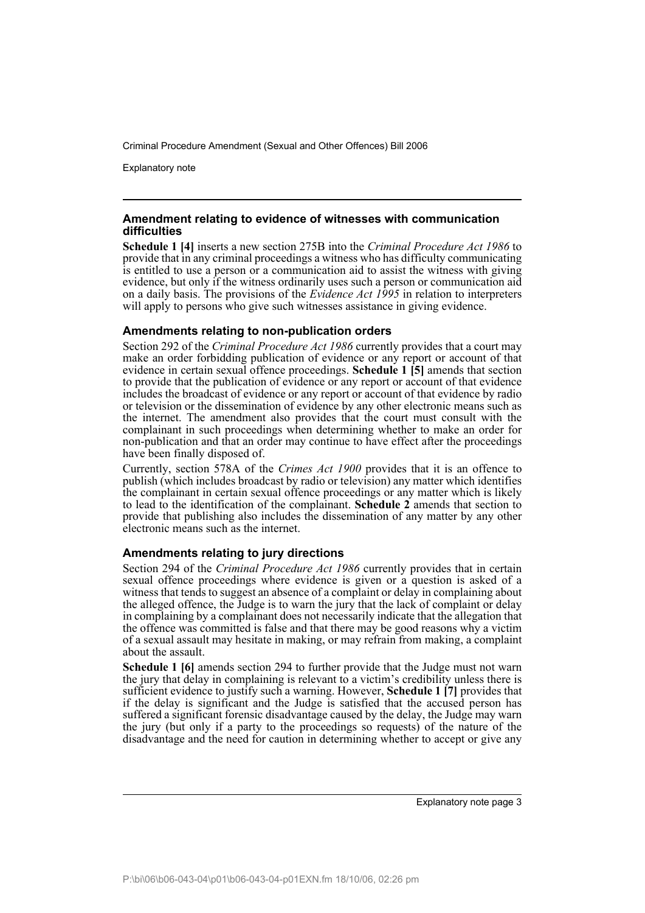Explanatory note

#### **Amendment relating to evidence of witnesses with communication difficulties**

**Schedule 1 [4]** inserts a new section 275B into the *Criminal Procedure Act 1986* to provide that in any criminal proceedings a witness who has difficulty communicating is entitled to use a person or a communication aid to assist the witness with giving evidence, but only if the witness ordinarily uses such a person or communication aid on a daily basis. The provisions of the *Evidence Act 1995* in relation to interpreters will apply to persons who give such witnesses assistance in giving evidence.

#### **Amendments relating to non-publication orders**

Section 292 of the *Criminal Procedure Act 1986* currently provides that a court may make an order forbidding publication of evidence or any report or account of that evidence in certain sexual offence proceedings. **Schedule 1 [5]** amends that section to provide that the publication of evidence or any report or account of that evidence includes the broadcast of evidence or any report or account of that evidence by radio or television or the dissemination of evidence by any other electronic means such as the internet. The amendment also provides that the court must consult with the complainant in such proceedings when determining whether to make an order for non-publication and that an order may continue to have effect after the proceedings have been finally disposed of.

Currently, section 578A of the *Crimes Act 1900* provides that it is an offence to publish (which includes broadcast by radio or television) any matter which identifies the complainant in certain sexual offence proceedings or any matter which is likely to lead to the identification of the complainant. **Schedule 2** amends that section to provide that publishing also includes the dissemination of any matter by any other electronic means such as the internet.

#### **Amendments relating to jury directions**

Section 294 of the *Criminal Procedure Act 1986* currently provides that in certain sexual offence proceedings where evidence is given or a question is asked of a witness that tends to suggest an absence of a complaint or delay in complaining about the alleged offence, the Judge is to warn the jury that the lack of complaint or delay in complaining by a complainant does not necessarily indicate that the allegation that the offence was committed is false and that there may be good reasons why a victim of a sexual assault may hesitate in making, or may refrain from making, a complaint about the assault.

**Schedule 1 [6]** amends section 294 to further provide that the Judge must not warn the jury that delay in complaining is relevant to a victim's credibility unless there is sufficient evidence to justify such a warning. However, **Schedule 1 [7]** provides that if the delay is significant and the Judge is satisfied that the accused person has suffered a significant forensic disadvantage caused by the delay, the Judge may warn the jury (but only if a party to the proceedings so requests) of the nature of the disadvantage and the need for caution in determining whether to accept or give any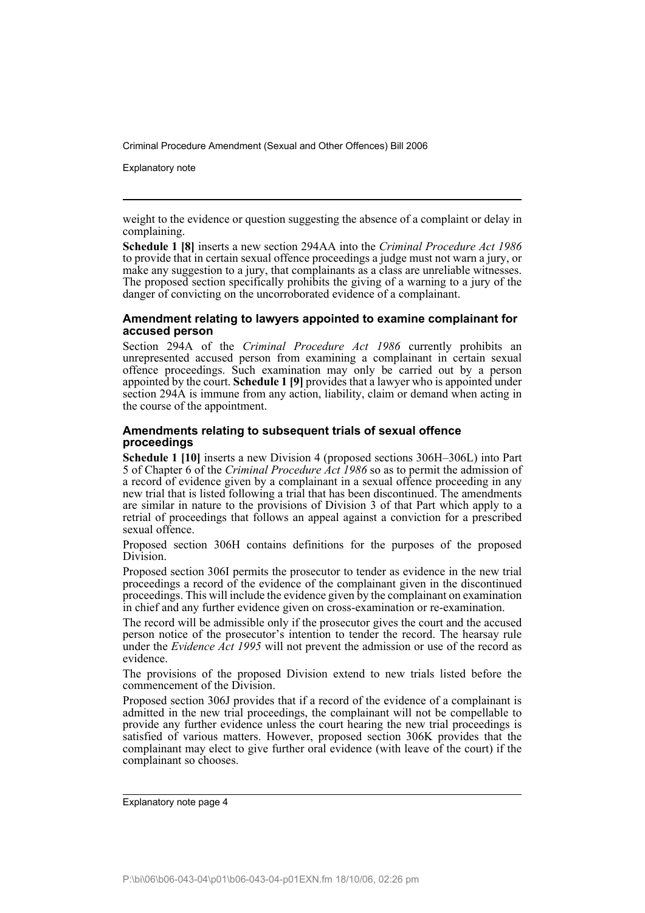Explanatory note

weight to the evidence or question suggesting the absence of a complaint or delay in complaining.

**Schedule 1 [8]** inserts a new section 294AA into the *Criminal Procedure Act 1986* to provide that in certain sexual offence proceedings a judge must not warn a jury, or make any suggestion to a jury, that complainants as a class are unreliable witnesses. The proposed section specifically prohibits the giving of a warning to a jury of the danger of convicting on the uncorroborated evidence of a complainant.

#### **Amendment relating to lawyers appointed to examine complainant for accused person**

Section 294A of the *Criminal Procedure Act 1986* currently prohibits an unrepresented accused person from examining a complainant in certain sexual offence proceedings. Such examination may only be carried out by a person appointed by the court. **Schedule 1 [9]** provides that a lawyer who is appointed under section 294A is immune from any action, liability, claim or demand when acting in the course of the appointment.

#### **Amendments relating to subsequent trials of sexual offence proceedings**

**Schedule 1 [10]** inserts a new Division 4 (proposed sections 306H–306L) into Part 5 of Chapter 6 of the *Criminal Procedure Act 1986* so as to permit the admission of a record of evidence given by a complainant in a sexual offence proceeding in any new trial that is listed following a trial that has been discontinued. The amendments are similar in nature to the provisions of Division 3 of that Part which apply to a retrial of proceedings that follows an appeal against a conviction for a prescribed sexual offence.

Proposed section 306H contains definitions for the purposes of the proposed Division.

Proposed section 306I permits the prosecutor to tender as evidence in the new trial proceedings a record of the evidence of the complainant given in the discontinued proceedings. This will include the evidence given by the complainant on examination in chief and any further evidence given on cross-examination or re-examination.

The record will be admissible only if the prosecutor gives the court and the accused person notice of the prosecutor's intention to tender the record. The hearsay rule under the *Evidence Act 1995* will not prevent the admission or use of the record as evidence.

The provisions of the proposed Division extend to new trials listed before the commencement of the Division.

Proposed section 306J provides that if a record of the evidence of a complainant is admitted in the new trial proceedings, the complainant will not be compellable to provide any further evidence unless the court hearing the new trial proceedings is satisfied of various matters. However, proposed section 306K provides that the complainant may elect to give further oral evidence (with leave of the court) if the complainant so chooses.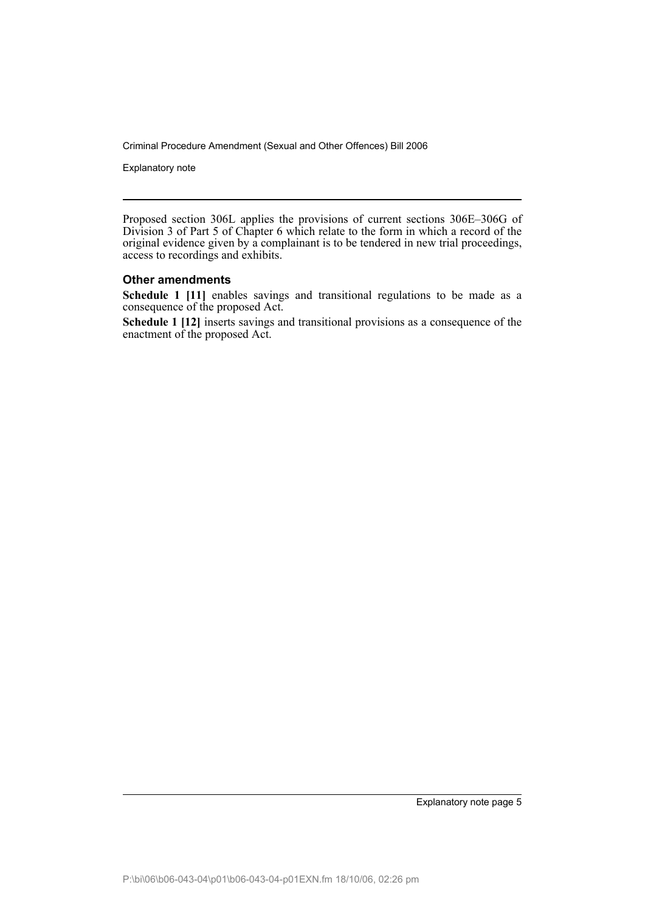Explanatory note

Proposed section 306L applies the provisions of current sections 306E–306G of Division 3 of Part 5 of Chapter 6 which relate to the form in which a record of the original evidence given by a complainant is to be tendered in new trial proceedings, access to recordings and exhibits.

#### **Other amendments**

Schedule 1 [11] enables savings and transitional regulations to be made as a consequence of the proposed Act.

**Schedule 1 [12]** inserts savings and transitional provisions as a consequence of the enactment of the proposed Act.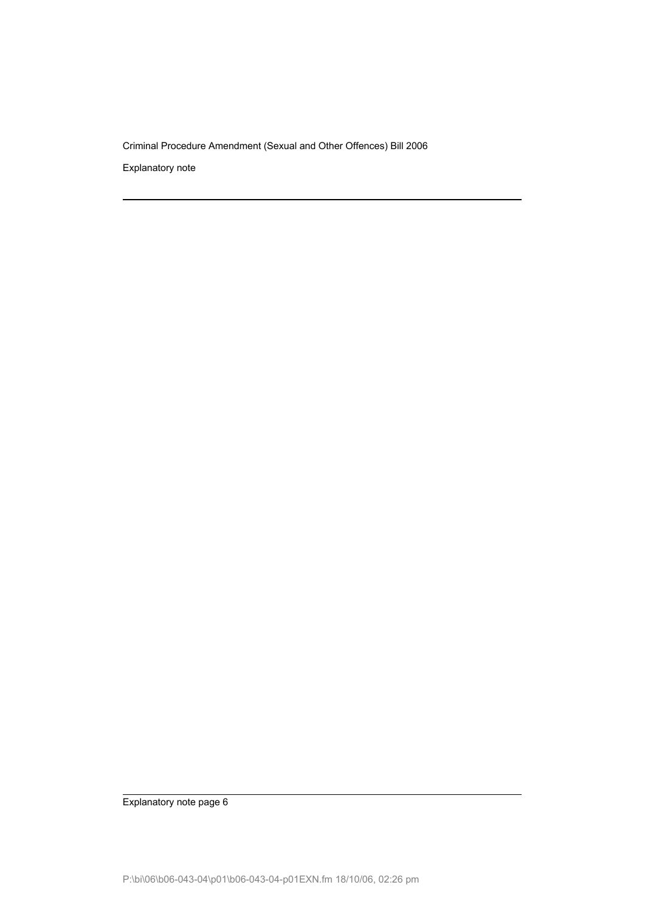Explanatory note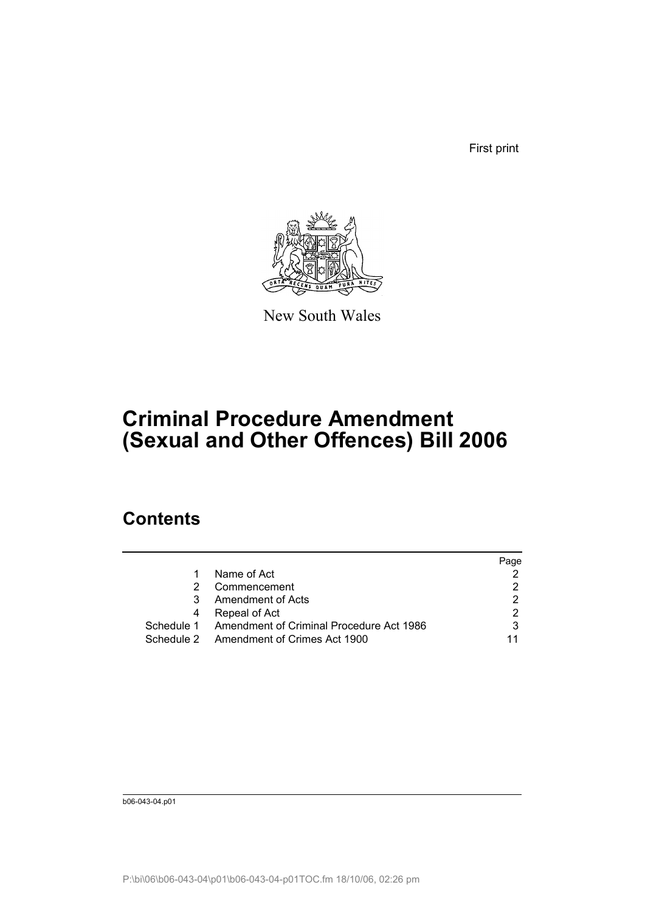First print



New South Wales

# **Criminal Procedure Amendment (Sexual and Other Offences) Bill 2006**

# **Contents**

|                                                     | Page |
|-----------------------------------------------------|------|
| Name of Act                                         |      |
| Commencement                                        | 2    |
| Amendment of Acts                                   | 2    |
| Repeal of Act                                       | 2    |
| Schedule 1 Amendment of Criminal Procedure Act 1986 | 3    |
| Schedule 2 Amendment of Crimes Act 1900             |      |
|                                                     |      |

b06-043-04.p01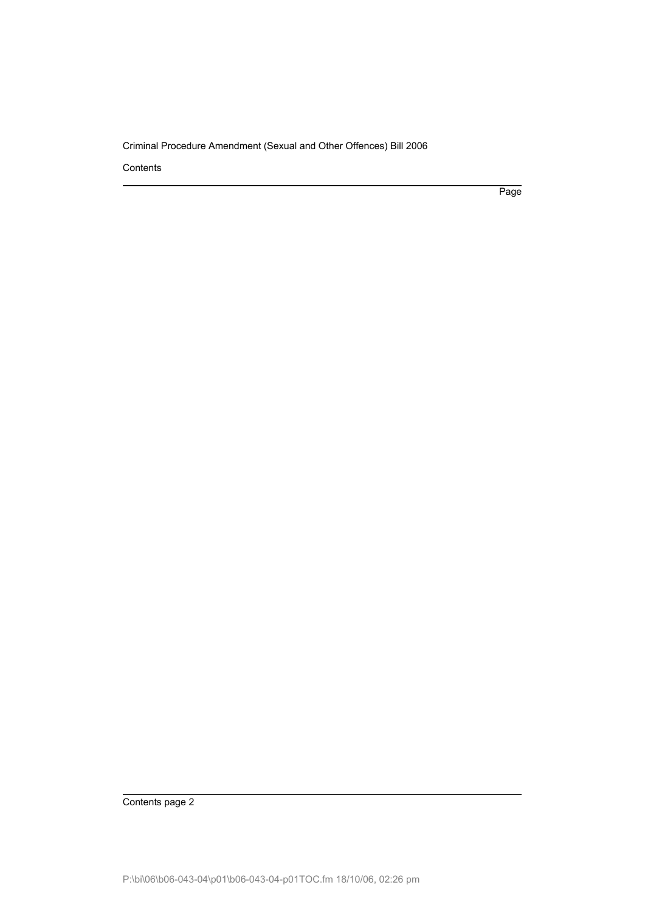Contents

Page

Contents page 2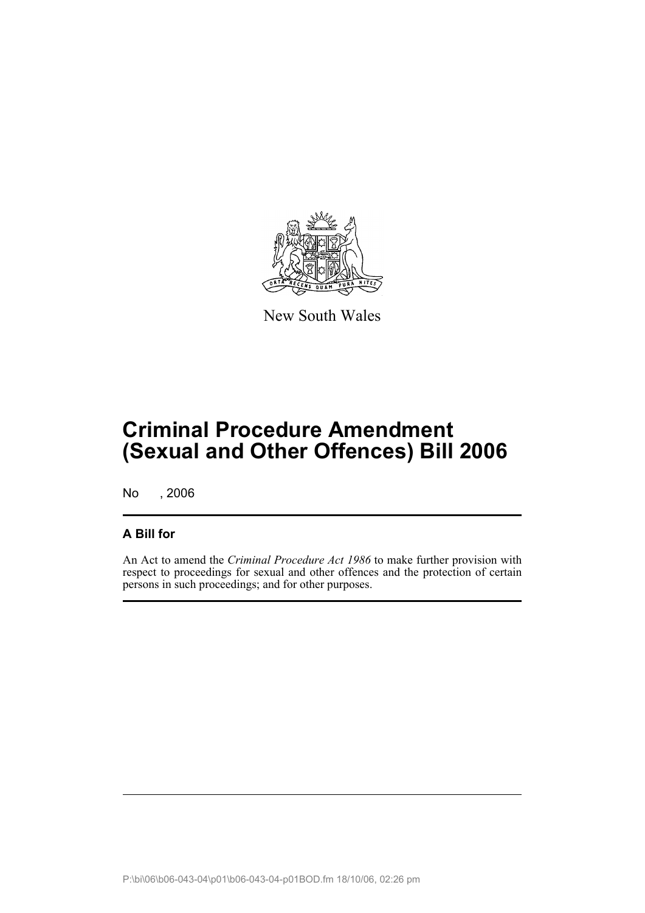

New South Wales

# **Criminal Procedure Amendment (Sexual and Other Offences) Bill 2006**

No , 2006

### **A Bill for**

An Act to amend the *Criminal Procedure Act 1986* to make further provision with respect to proceedings for sexual and other offences and the protection of certain persons in such proceedings; and for other purposes.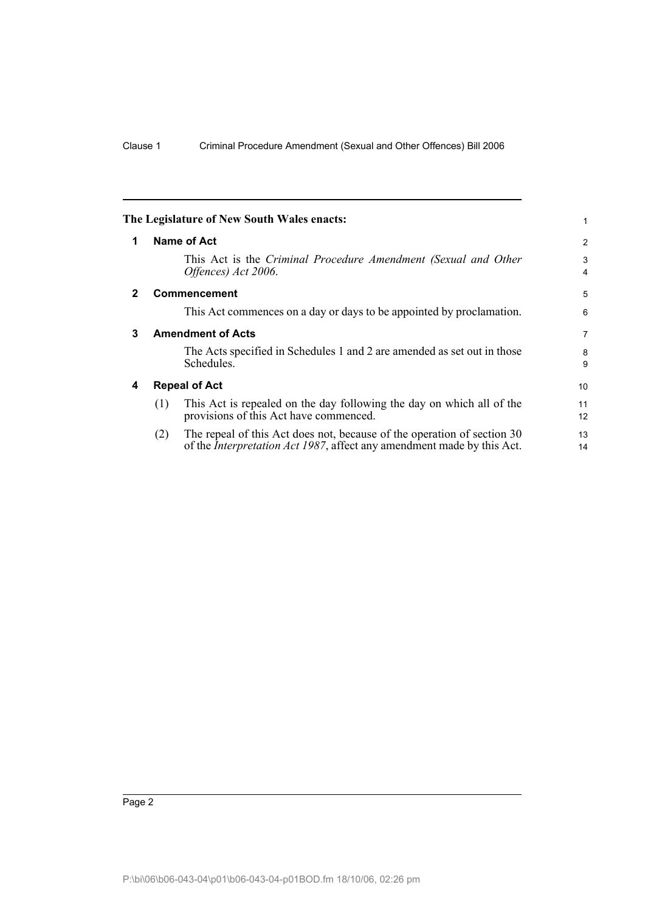<span id="page-9-3"></span><span id="page-9-2"></span><span id="page-9-1"></span><span id="page-9-0"></span>

|              |     | The Legislature of New South Wales enacts:                                                                                                                | 1              |
|--------------|-----|-----------------------------------------------------------------------------------------------------------------------------------------------------------|----------------|
| 1            |     | Name of Act                                                                                                                                               | 2              |
|              |     | This Act is the Criminal Procedure Amendment (Sexual and Other<br>Offences) Act 2006.                                                                     | 3<br>4         |
| $\mathbf{2}$ |     | <b>Commencement</b>                                                                                                                                       | 5              |
|              |     | This Act commences on a day or days to be appointed by proclamation.                                                                                      | 6              |
| 3            |     | <b>Amendment of Acts</b>                                                                                                                                  | $\overline{7}$ |
|              |     | The Acts specified in Schedules 1 and 2 are amended as set out in those<br>Schedules.                                                                     | 8<br>9         |
| 4            |     | <b>Repeal of Act</b>                                                                                                                                      | 10             |
|              | (1) | This Act is repealed on the day following the day on which all of the<br>provisions of this Act have commenced.                                           | 11<br>12       |
|              | (2) | The repeal of this Act does not, because of the operation of section 30<br>of the <i>Interpretation Act 1987</i> , affect any amendment made by this Act. | 13<br>14       |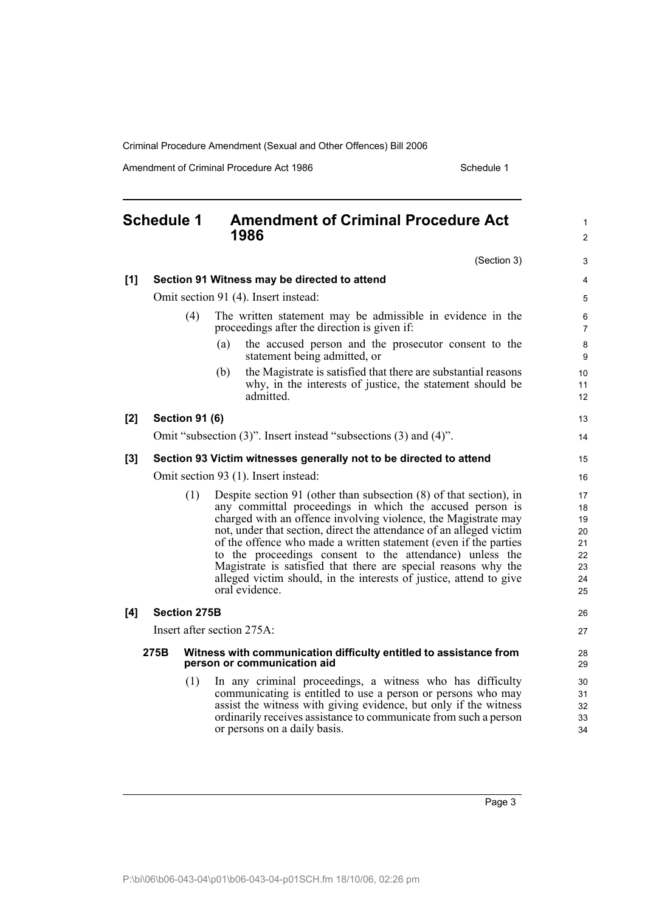Amendment of Criminal Procedure Act 1986 Schedule 1

<span id="page-10-0"></span>

| <b>Schedule 1</b> |                                                                    | <b>Amendment of Criminal Procedure Act</b><br>1986                                                                                                                                                                                                                                                                                                                                                                                                                                                                                                                  | 1<br>$\overline{2}$                                |  |  |
|-------------------|--------------------------------------------------------------------|---------------------------------------------------------------------------------------------------------------------------------------------------------------------------------------------------------------------------------------------------------------------------------------------------------------------------------------------------------------------------------------------------------------------------------------------------------------------------------------------------------------------------------------------------------------------|----------------------------------------------------|--|--|
|                   |                                                                    | (Section 3)                                                                                                                                                                                                                                                                                                                                                                                                                                                                                                                                                         | 3                                                  |  |  |
| [1]               |                                                                    | Section 91 Witness may be directed to attend                                                                                                                                                                                                                                                                                                                                                                                                                                                                                                                        | 4                                                  |  |  |
|                   |                                                                    | Omit section 91 (4). Insert instead:                                                                                                                                                                                                                                                                                                                                                                                                                                                                                                                                | 5                                                  |  |  |
|                   | (4)                                                                | The written statement may be admissible in evidence in the<br>proceedings after the direction is given if:                                                                                                                                                                                                                                                                                                                                                                                                                                                          | 6<br>$\overline{7}$                                |  |  |
|                   |                                                                    | the accused person and the prosecutor consent to the<br>(a)<br>statement being admitted, or                                                                                                                                                                                                                                                                                                                                                                                                                                                                         | 8<br>9                                             |  |  |
|                   |                                                                    | the Magistrate is satisfied that there are substantial reasons<br>(b)<br>why, in the interests of justice, the statement should be<br>admitted.                                                                                                                                                                                                                                                                                                                                                                                                                     | 10<br>11<br>12                                     |  |  |
| [2]               | <b>Section 91 (6)</b>                                              |                                                                                                                                                                                                                                                                                                                                                                                                                                                                                                                                                                     | 13                                                 |  |  |
|                   |                                                                    | Omit "subsection (3)". Insert instead "subsections (3) and (4)".                                                                                                                                                                                                                                                                                                                                                                                                                                                                                                    | 14                                                 |  |  |
| $[3]$             | Section 93 Victim witnesses generally not to be directed to attend |                                                                                                                                                                                                                                                                                                                                                                                                                                                                                                                                                                     |                                                    |  |  |
|                   | Omit section 93 (1). Insert instead:                               |                                                                                                                                                                                                                                                                                                                                                                                                                                                                                                                                                                     |                                                    |  |  |
|                   | (1)                                                                | Despite section 91 (other than subsection $(8)$ of that section), in<br>any committal proceedings in which the accused person is<br>charged with an offence involving violence, the Magistrate may<br>not, under that section, direct the attendance of an alleged victim<br>of the offence who made a written statement (even if the parties<br>to the proceedings consent to the attendance) unless the<br>Magistrate is satisfied that there are special reasons why the<br>alleged victim should, in the interests of justice, attend to give<br>oral evidence. | 17<br>18<br>19<br>20<br>21<br>22<br>23<br>24<br>25 |  |  |
| [4]               | <b>Section 275B</b>                                                |                                                                                                                                                                                                                                                                                                                                                                                                                                                                                                                                                                     | 26                                                 |  |  |
|                   |                                                                    | Insert after section 275A:                                                                                                                                                                                                                                                                                                                                                                                                                                                                                                                                          | 27                                                 |  |  |
|                   | 275B                                                               | Witness with communication difficulty entitled to assistance from<br>person or communication aid                                                                                                                                                                                                                                                                                                                                                                                                                                                                    | 28<br>29                                           |  |  |
|                   | (1)                                                                | In any criminal proceedings, a witness who has difficulty<br>communicating is entitled to use a person or persons who may<br>assist the witness with giving evidence, but only if the witness<br>ordinarily receives assistance to communicate from such a person<br>or persons on a daily basis.                                                                                                                                                                                                                                                                   | 30<br>31<br>32<br>33<br>34                         |  |  |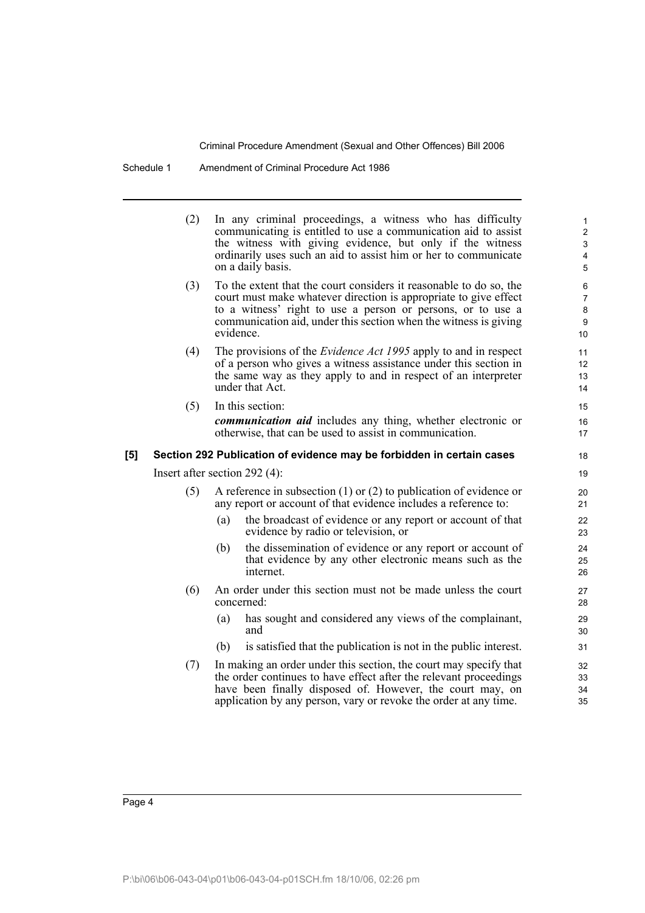Schedule 1 Amendment of Criminal Procedure Act 1986

|     | (2) | In any criminal proceedings, a witness who has difficulty<br>communicating is entitled to use a communication aid to assist<br>the witness with giving evidence, but only if the witness<br>ordinarily uses such an aid to assist him or her to communicate<br>on a daily basis.       | $\mathbf{1}$<br>$\overline{2}$<br>$\mathbf{3}$<br>$\overline{\mathbf{4}}$<br>5 |
|-----|-----|----------------------------------------------------------------------------------------------------------------------------------------------------------------------------------------------------------------------------------------------------------------------------------------|--------------------------------------------------------------------------------|
|     | (3) | To the extent that the court considers it reasonable to do so, the<br>court must make whatever direction is appropriate to give effect<br>to a witness' right to use a person or persons, or to use a<br>communication aid, under this section when the witness is giving<br>evidence. | $\,6\,$<br>$\overline{7}$<br>8<br>$\boldsymbol{9}$<br>10                       |
|     | (4) | The provisions of the <i>Evidence Act 1995</i> apply to and in respect<br>of a person who gives a witness assistance under this section in<br>the same way as they apply to and in respect of an interpreter<br>under that Act.                                                        | 11<br>12<br>13<br>14                                                           |
|     | (5) | In this section:                                                                                                                                                                                                                                                                       | 15                                                                             |
|     |     | <i>communication aid</i> includes any thing, whether electronic or<br>otherwise, that can be used to assist in communication.                                                                                                                                                          | 16<br>17                                                                       |
| [5] |     | Section 292 Publication of evidence may be forbidden in certain cases                                                                                                                                                                                                                  | 18                                                                             |
|     |     | Insert after section 292 $(4)$ :                                                                                                                                                                                                                                                       | 19                                                                             |
|     | (5) | A reference in subsection $(1)$ or $(2)$ to publication of evidence or<br>any report or account of that evidence includes a reference to:                                                                                                                                              | 20<br>21                                                                       |
|     |     | the broadcast of evidence or any report or account of that<br>(a)<br>evidence by radio or television, or                                                                                                                                                                               | 22<br>23                                                                       |
|     |     | the dissemination of evidence or any report or account of<br>(b)<br>that evidence by any other electronic means such as the<br>internet.                                                                                                                                               | 24<br>25<br>26                                                                 |
|     | (6) | An order under this section must not be made unless the court<br>concerned:                                                                                                                                                                                                            | 27<br>28                                                                       |
|     |     | has sought and considered any views of the complainant,<br>(a)<br>and                                                                                                                                                                                                                  | 29<br>30                                                                       |
|     |     | is satisfied that the publication is not in the public interest.<br>(b)                                                                                                                                                                                                                | 31                                                                             |
|     | (7) | In making an order under this section, the court may specify that<br>the order continues to have effect after the relevant proceedings<br>have been finally disposed of. However, the court may, on<br>application by any person, vary or revoke the order at any time.                | 32<br>33<br>34<br>35                                                           |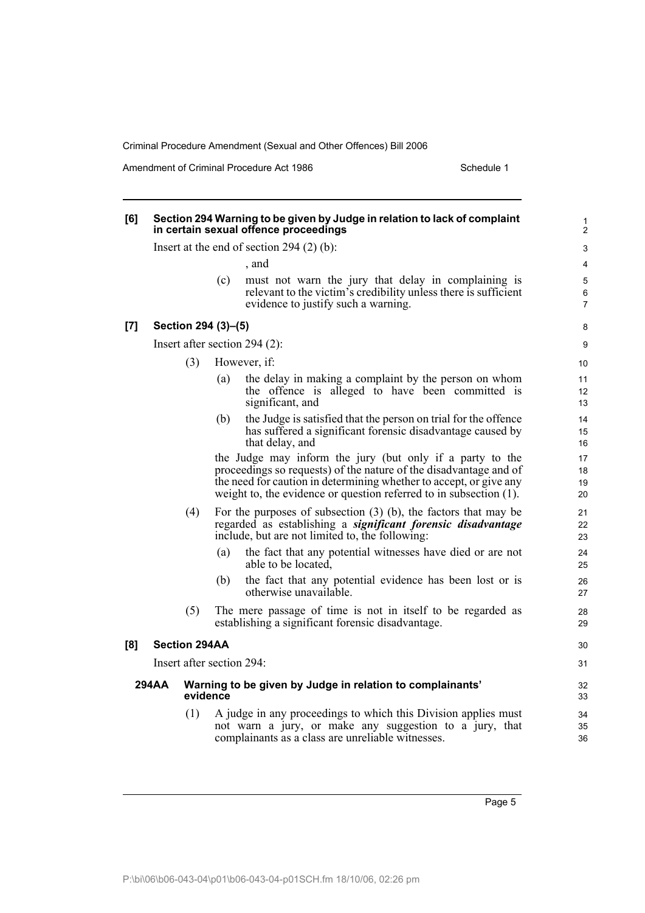Amendment of Criminal Procedure Act 1986 Schedule 1

| [6] | Section 294 Warning to be given by Judge in relation to lack of complaint<br>in certain sexual offence proceedings |                      |                                                                                                                                                                                                                                                                            |                          |  |
|-----|--------------------------------------------------------------------------------------------------------------------|----------------------|----------------------------------------------------------------------------------------------------------------------------------------------------------------------------------------------------------------------------------------------------------------------------|--------------------------|--|
|     |                                                                                                                    |                      | Insert at the end of section 294 $(2)$ (b):                                                                                                                                                                                                                                | 3                        |  |
|     |                                                                                                                    |                      | , and                                                                                                                                                                                                                                                                      | 4                        |  |
|     |                                                                                                                    |                      | (c)<br>must not warn the jury that delay in complaining is<br>relevant to the victim's credibility unless there is sufficient<br>evidence to justify such a warning.                                                                                                       | 5<br>6<br>$\overline{7}$ |  |
| [7] |                                                                                                                    |                      | Section 294 (3)-(5)                                                                                                                                                                                                                                                        | 8                        |  |
|     |                                                                                                                    |                      | Insert after section $294$ (2):                                                                                                                                                                                                                                            | 9                        |  |
|     |                                                                                                                    | (3)                  | However, if:                                                                                                                                                                                                                                                               | 10                       |  |
|     |                                                                                                                    |                      | the delay in making a complaint by the person on whom<br>(a)<br>the offence is alleged to have been committed is<br>significant, and                                                                                                                                       | 11<br>12<br>13           |  |
|     |                                                                                                                    |                      | the Judge is satisfied that the person on trial for the offence<br>(b)<br>has suffered a significant forensic disadvantage caused by<br>that delay, and                                                                                                                    | 14<br>15<br>16           |  |
|     |                                                                                                                    |                      | the Judge may inform the jury (but only if a party to the<br>proceedings so requests) of the nature of the disadvantage and of<br>the need for caution in determining whether to accept, or give any<br>weight to, the evidence or question referred to in subsection (1). | 17<br>18<br>19<br>20     |  |
|     |                                                                                                                    | (4)                  | For the purposes of subsection $(3)$ (b), the factors that may be<br>regarded as establishing a significant forensic disadvantage<br>include, but are not limited to, the following:                                                                                       | 21<br>22<br>23           |  |
|     |                                                                                                                    |                      | the fact that any potential witnesses have died or are not<br>(a)<br>able to be located,                                                                                                                                                                                   | 24<br>25                 |  |
|     |                                                                                                                    |                      | the fact that any potential evidence has been lost or is<br>(b)<br>otherwise unavailable.                                                                                                                                                                                  | 26<br>27                 |  |
|     |                                                                                                                    | (5)                  | The mere passage of time is not in itself to be regarded as<br>establishing a significant forensic disadvantage.                                                                                                                                                           | 28<br>29                 |  |
| [8] |                                                                                                                    | <b>Section 294AA</b> |                                                                                                                                                                                                                                                                            | 30                       |  |
|     |                                                                                                                    |                      | Insert after section 294:                                                                                                                                                                                                                                                  | 31                       |  |
|     | 294AA                                                                                                              |                      | Warning to be given by Judge in relation to complainants'<br>evidence                                                                                                                                                                                                      | 32<br>33                 |  |
|     |                                                                                                                    | (1)                  | A judge in any proceedings to which this Division applies must<br>not warn a jury, or make any suggestion to a jury, that<br>complainants as a class are unreliable witnesses.                                                                                             | 34<br>35<br>36           |  |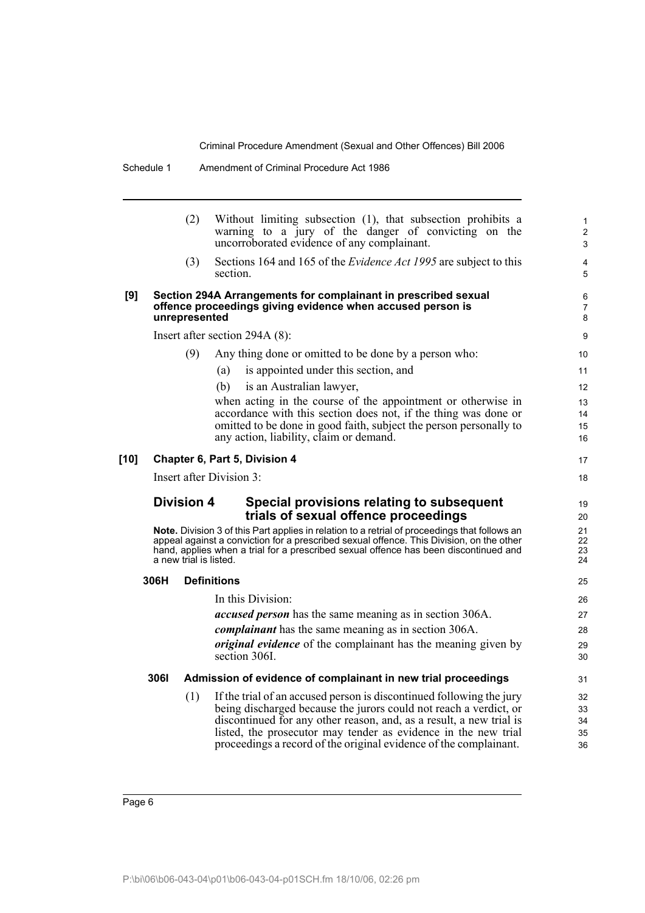|        |                                                                                                                                                      | (2)               | Without limiting subsection (1), that subsection prohibits a<br>warning to a jury of the danger of convicting on the<br>uncorroborated evidence of any complainant.                                                                                                                                         | 1<br>$\overline{2}$<br>3 |  |  |
|--------|------------------------------------------------------------------------------------------------------------------------------------------------------|-------------------|-------------------------------------------------------------------------------------------------------------------------------------------------------------------------------------------------------------------------------------------------------------------------------------------------------------|--------------------------|--|--|
|        |                                                                                                                                                      | (3)               | Sections 164 and 165 of the <i>Evidence Act 1995</i> are subject to this<br>section.                                                                                                                                                                                                                        | 4<br>5                   |  |  |
|        | [9]<br>Section 294A Arrangements for complainant in prescribed sexual<br>offence proceedings giving evidence when accused person is<br>unrepresented |                   |                                                                                                                                                                                                                                                                                                             |                          |  |  |
|        |                                                                                                                                                      |                   | Insert after section 294A (8):                                                                                                                                                                                                                                                                              | 9                        |  |  |
|        |                                                                                                                                                      | (9)               | Any thing done or omitted to be done by a person who:                                                                                                                                                                                                                                                       | 10                       |  |  |
|        |                                                                                                                                                      |                   | is appointed under this section, and<br>(a)                                                                                                                                                                                                                                                                 | 11                       |  |  |
|        |                                                                                                                                                      |                   | (b)<br>is an Australian lawyer,                                                                                                                                                                                                                                                                             | 12                       |  |  |
|        |                                                                                                                                                      |                   | when acting in the course of the appointment or otherwise in<br>accordance with this section does not, if the thing was done or<br>omitted to be done in good faith, subject the person personally to                                                                                                       | 13<br>14<br>15           |  |  |
|        |                                                                                                                                                      |                   | any action, liability, claim or demand.                                                                                                                                                                                                                                                                     | 16                       |  |  |
| $[10]$ |                                                                                                                                                      |                   | Chapter 6, Part 5, Division 4                                                                                                                                                                                                                                                                               | 17                       |  |  |
|        | Insert after Division 3:                                                                                                                             |                   |                                                                                                                                                                                                                                                                                                             |                          |  |  |
|        |                                                                                                                                                      | <b>Division 4</b> | Special provisions relating to subsequent<br>trials of sexual offence proceedings                                                                                                                                                                                                                           | 19<br>20                 |  |  |
|        |                                                                                                                                                      |                   | Note. Division 3 of this Part applies in relation to a retrial of proceedings that follows an<br>appeal against a conviction for a prescribed sexual offence. This Division, on the other<br>hand, applies when a trial for a prescribed sexual offence has been discontinued and<br>a new trial is listed. | 21<br>22<br>23<br>24     |  |  |
|        | 306H                                                                                                                                                 |                   | <b>Definitions</b>                                                                                                                                                                                                                                                                                          | 25                       |  |  |
|        |                                                                                                                                                      |                   | In this Division:                                                                                                                                                                                                                                                                                           | 26                       |  |  |
|        |                                                                                                                                                      |                   | <i>accused person</i> has the same meaning as in section 306A.                                                                                                                                                                                                                                              | 27                       |  |  |
|        |                                                                                                                                                      |                   | <i>complainant</i> has the same meaning as in section 306A.                                                                                                                                                                                                                                                 | 28                       |  |  |
|        |                                                                                                                                                      |                   | <i>original evidence</i> of the complainant has the meaning given by<br>section 306I.                                                                                                                                                                                                                       | 29<br>30                 |  |  |
|        | <b>3061</b>                                                                                                                                          |                   | Admission of evidence of complainant in new trial proceedings                                                                                                                                                                                                                                               | 31                       |  |  |
|        |                                                                                                                                                      | (1)               | If the trial of an accused person is discontinued following the jury                                                                                                                                                                                                                                        | 32                       |  |  |
|        |                                                                                                                                                      |                   | being discharged because the jurors could not reach a verdict, or                                                                                                                                                                                                                                           | 33                       |  |  |
|        |                                                                                                                                                      |                   | discontinued for any other reason, and, as a result, a new trial is<br>listed, the prosecutor may tender as evidence in the new trial                                                                                                                                                                       | 34<br>35                 |  |  |
|        |                                                                                                                                                      |                   | proceedings a record of the original evidence of the complainant.                                                                                                                                                                                                                                           | 36                       |  |  |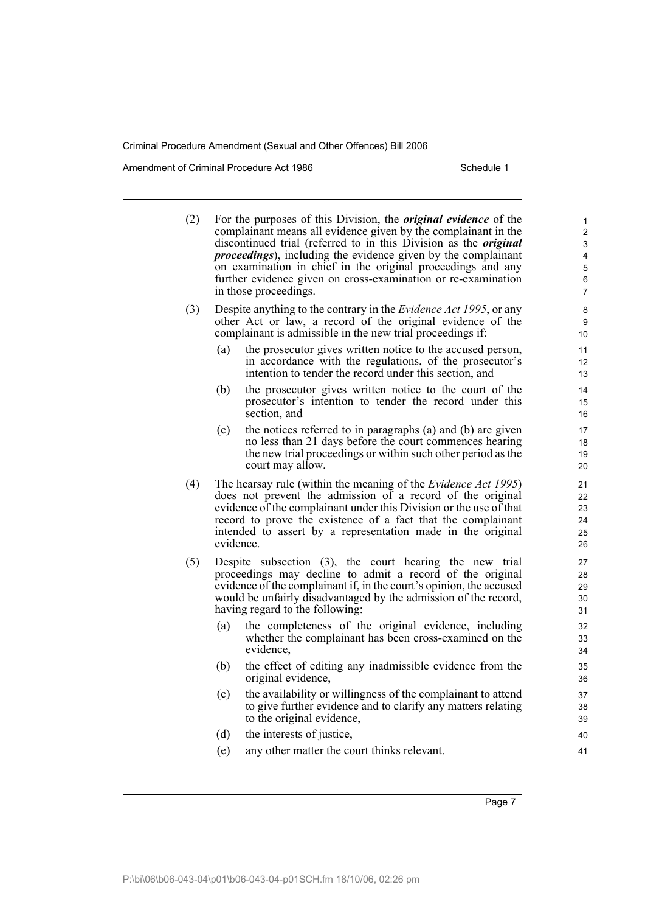Amendment of Criminal Procedure Act 1986 Schedule 1

| (2) |                                                                                                                                                                                                       | For the purposes of this Division, the <i>original evidence</i> of the<br>complainant means all evidence given by the complainant in the<br>discontinued trial (referred to in this Division as the <i>original</i><br><i>proceedings</i> ), including the evidence given by the complainant<br>on examination in chief in the original proceedings and any<br>further evidence given on cross-examination or re-examination<br>in those proceedings. | 1<br>$\overline{c}$<br>3<br>4<br>5<br>6<br>7 |  |  |
|-----|-------------------------------------------------------------------------------------------------------------------------------------------------------------------------------------------------------|-------------------------------------------------------------------------------------------------------------------------------------------------------------------------------------------------------------------------------------------------------------------------------------------------------------------------------------------------------------------------------------------------------------------------------------------------------|----------------------------------------------|--|--|
| (3) | Despite anything to the contrary in the <i>Evidence Act 1995</i> , or any<br>other Act or law, a record of the original evidence of the<br>complainant is admissible in the new trial proceedings if: |                                                                                                                                                                                                                                                                                                                                                                                                                                                       |                                              |  |  |
|     | (a)                                                                                                                                                                                                   | the prosecutor gives written notice to the accused person,<br>in accordance with the regulations, of the prosecutor's<br>intention to tender the record under this section, and                                                                                                                                                                                                                                                                       | 11<br>12<br>13                               |  |  |
|     | (b)                                                                                                                                                                                                   | the prosecutor gives written notice to the court of the<br>prosecutor's intention to tender the record under this<br>section, and                                                                                                                                                                                                                                                                                                                     | 14<br>15<br>16                               |  |  |
|     | (c)                                                                                                                                                                                                   | the notices referred to in paragraphs (a) and (b) are given<br>no less than 21 days before the court commences hearing<br>the new trial proceedings or within such other period as the<br>court may allow.                                                                                                                                                                                                                                            | 17<br>18<br>19<br>20                         |  |  |
| (4) |                                                                                                                                                                                                       | The hearsay rule (within the meaning of the <i>Evidence Act 1995</i> )<br>does not prevent the admission of a record of the original<br>evidence of the complainant under this Division or the use of that<br>record to prove the existence of a fact that the complainant<br>intended to assert by a representation made in the original<br>evidence.                                                                                                | 21<br>22<br>23<br>24<br>25<br>26             |  |  |
| (5) |                                                                                                                                                                                                       | Despite subsection $(3)$ , the court hearing the new trial<br>proceedings may decline to admit a record of the original<br>evidence of the complainant if, in the court's opinion, the accused<br>would be unfairly disadvantaged by the admission of the record,<br>having regard to the following:                                                                                                                                                  | 27<br>28<br>29<br>30<br>31                   |  |  |
|     | (a)                                                                                                                                                                                                   | the completeness of the original evidence, including<br>whether the complainant has been cross-examined on the<br>evidence,                                                                                                                                                                                                                                                                                                                           | 32<br>33<br>34                               |  |  |
|     | (b)                                                                                                                                                                                                   | the effect of editing any inadmissible evidence from the<br>original evidence,                                                                                                                                                                                                                                                                                                                                                                        | 35<br>36                                     |  |  |
|     | (c)                                                                                                                                                                                                   | the availability or willingness of the complainant to attend<br>to give further evidence and to clarify any matters relating<br>to the original evidence,                                                                                                                                                                                                                                                                                             | 37<br>38<br>39                               |  |  |
|     | (d)                                                                                                                                                                                                   | the interests of justice,                                                                                                                                                                                                                                                                                                                                                                                                                             | 40                                           |  |  |
|     | (e)                                                                                                                                                                                                   | any other matter the court thinks relevant.                                                                                                                                                                                                                                                                                                                                                                                                           | 41                                           |  |  |
|     |                                                                                                                                                                                                       |                                                                                                                                                                                                                                                                                                                                                                                                                                                       |                                              |  |  |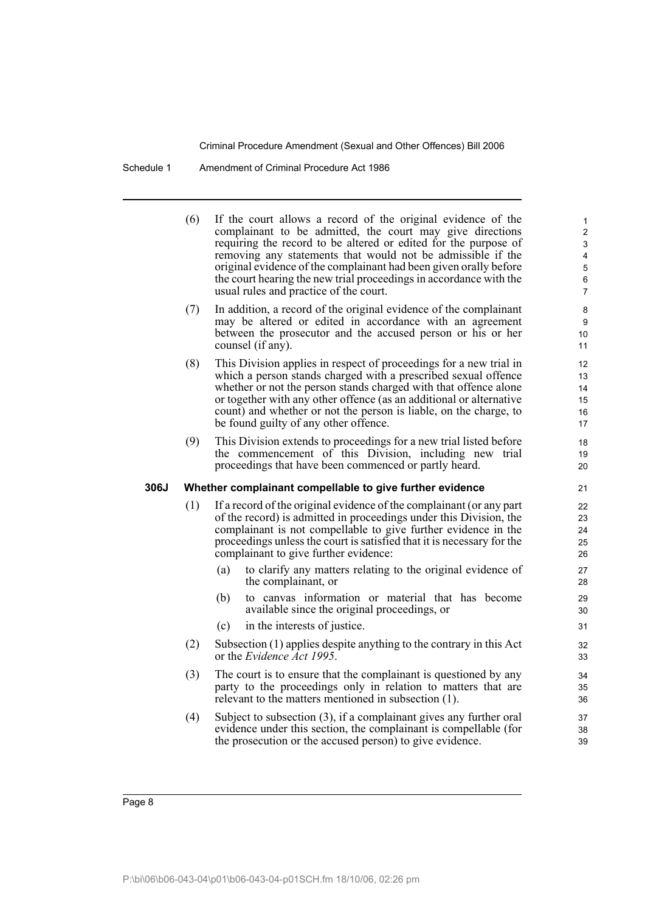#### Schedule 1 Amendment of Criminal Procedure Act 1986

|      | (6)                                                      | If the court allows a record of the original evidence of the<br>complainant to be admitted, the court may give directions<br>requiring the record to be altered or edited for the purpose of<br>removing any statements that would not be admissible if the<br>original evidence of the complainant had been given orally before<br>the court hearing the new trial proceedings in accordance with the<br>usual rules and practice of the court. | $\mathbf{1}$<br>2<br>3<br>$\overline{\mathbf{4}}$<br>5<br>6<br>7 |  |  |  |
|------|----------------------------------------------------------|--------------------------------------------------------------------------------------------------------------------------------------------------------------------------------------------------------------------------------------------------------------------------------------------------------------------------------------------------------------------------------------------------------------------------------------------------|------------------------------------------------------------------|--|--|--|
|      | (7)                                                      | In addition, a record of the original evidence of the complainant<br>may be altered or edited in accordance with an agreement<br>between the prosecutor and the accused person or his or her<br>counsel (if any).                                                                                                                                                                                                                                | 8<br>9<br>10<br>11                                               |  |  |  |
|      | (8)                                                      | This Division applies in respect of proceedings for a new trial in<br>which a person stands charged with a prescribed sexual offence<br>whether or not the person stands charged with that offence alone<br>or together with any other offence (as an additional or alternative<br>count) and whether or not the person is liable, on the charge, to<br>be found guilty of any other offence.                                                    | 12<br>13<br>14<br>15<br>16<br>17                                 |  |  |  |
|      | (9)                                                      | This Division extends to proceedings for a new trial listed before<br>the commencement of this Division, including new trial<br>proceedings that have been commenced or partly heard.                                                                                                                                                                                                                                                            | 18<br>19<br>20                                                   |  |  |  |
| 306J | Whether complainant compellable to give further evidence |                                                                                                                                                                                                                                                                                                                                                                                                                                                  |                                                                  |  |  |  |
|      | (1)                                                      | If a record of the original evidence of the complainant (or any part<br>of the record) is admitted in proceedings under this Division, the<br>complainant is not compellable to give further evidence in the<br>proceedings unless the court is satisfied that it is necessary for the<br>complainant to give further evidence:                                                                                                                  | 22<br>23<br>24<br>25<br>26                                       |  |  |  |
|      |                                                          | (a)<br>to clarify any matters relating to the original evidence of<br>the complainant, or                                                                                                                                                                                                                                                                                                                                                        | 27<br>28                                                         |  |  |  |
|      |                                                          | to canvas information or material that has become<br>(b)<br>available since the original proceedings, or                                                                                                                                                                                                                                                                                                                                         | 29<br>30                                                         |  |  |  |
|      |                                                          | (c)<br>in the interests of justice.                                                                                                                                                                                                                                                                                                                                                                                                              | 31                                                               |  |  |  |
|      | (2)                                                      | Subsection (1) applies despite anything to the contrary in this Act<br>or the <i>Evidence Act 1995</i> .                                                                                                                                                                                                                                                                                                                                         | 32<br>33                                                         |  |  |  |
|      | (3)                                                      | The court is to ensure that the complainant is questioned by any<br>party to the proceedings only in relation to matters that are<br>relevant to the matters mentioned in subsection (1).                                                                                                                                                                                                                                                        |                                                                  |  |  |  |
|      | (4)                                                      | Subject to subsection $(3)$ , if a complainant gives any further oral<br>evidence under this section, the complainant is compellable (for<br>the prosecution or the accused person) to give evidence.                                                                                                                                                                                                                                            | 37<br>38<br>39                                                   |  |  |  |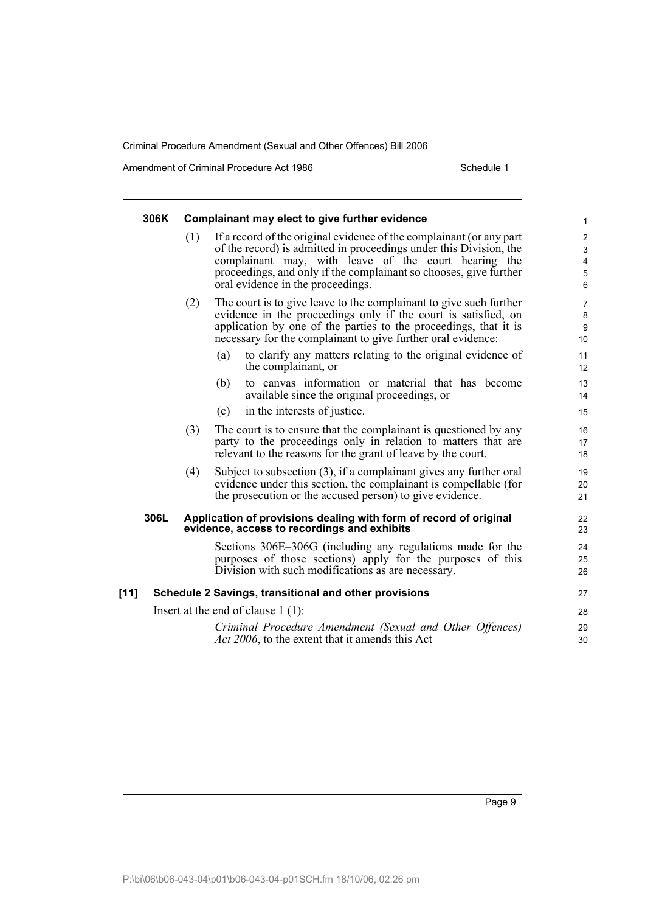Amendment of Criminal Procedure Act 1986 Schedule 1

|        | 306K |     | Complainant may elect to give further evidence                                                                                                                                                                                                                                                               | 1                                           |
|--------|------|-----|--------------------------------------------------------------------------------------------------------------------------------------------------------------------------------------------------------------------------------------------------------------------------------------------------------------|---------------------------------------------|
|        |      | (1) | If a record of the original evidence of the complainant (or any part<br>of the record) is admitted in proceedings under this Division, the<br>complainant may, with leave of the court hearing the<br>proceedings, and only if the complainant so chooses, give further<br>oral evidence in the proceedings. | $\overline{\mathbf{c}}$<br>3<br>4<br>5<br>6 |
|        |      | (2) | The court is to give leave to the complainant to give such further<br>evidence in the proceedings only if the court is satisfied, on<br>application by one of the parties to the proceedings, that it is<br>necessary for the complainant to give further oral evidence:                                     | 7<br>8<br>9<br>10                           |
|        |      |     | to clarify any matters relating to the original evidence of<br>(a)<br>the complainant, or                                                                                                                                                                                                                    | 11<br>12                                    |
|        |      |     | to canvas information or material that has become<br>(b)<br>available since the original proceedings, or                                                                                                                                                                                                     | 13<br>14                                    |
|        |      |     | in the interests of justice.<br>(c)                                                                                                                                                                                                                                                                          | 15                                          |
|        |      | (3) | The court is to ensure that the complainant is questioned by any<br>party to the proceedings only in relation to matters that are<br>relevant to the reasons for the grant of leave by the court.                                                                                                            | 16<br>17<br>18                              |
|        |      | (4) | Subject to subsection $(3)$ , if a complainant gives any further oral<br>evidence under this section, the complainant is compellable (for<br>the prosecution or the accused person) to give evidence.                                                                                                        | 19<br>20<br>21                              |
|        | 306L |     | Application of provisions dealing with form of record of original<br>evidence, access to recordings and exhibits                                                                                                                                                                                             | 22<br>23                                    |
|        |      |     | Sections 306E-306G (including any regulations made for the<br>purposes of those sections) apply for the purposes of this<br>Division with such modifications as are necessary.                                                                                                                               | 24<br>25<br>26                              |
| $[11]$ |      |     | Schedule 2 Savings, transitional and other provisions                                                                                                                                                                                                                                                        | 27                                          |
|        |      |     | Insert at the end of clause $1(1)$ :                                                                                                                                                                                                                                                                         | 28                                          |
|        |      |     | Criminal Procedure Amendment (Sexual and Other Offences)<br><i>Act 2006</i> , to the extent that it amends this Act                                                                                                                                                                                          | 29<br>30                                    |
|        |      |     |                                                                                                                                                                                                                                                                                                              |                                             |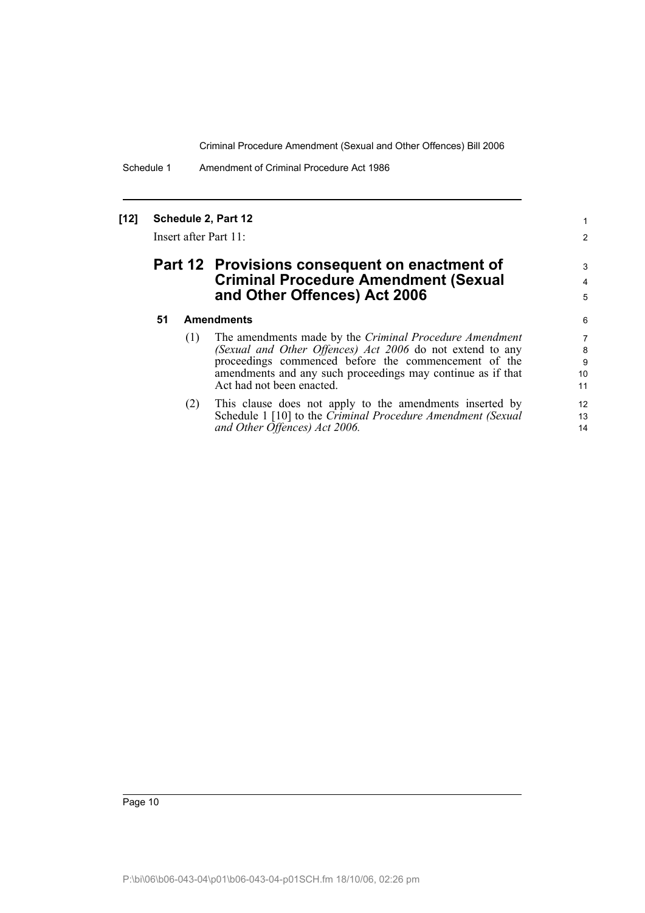1 2

3 4 5

Schedule 1 Amendment of Criminal Procedure Act 1986

#### **[12] Schedule 2, Part 12**

Insert after Part 11:

### **Part 12 Provisions consequent on enactment of Criminal Procedure Amendment (Sexual and Other Offences) Act 2006**

#### **51 Amendments**

- (1) The amendments made by the *Criminal Procedure Amendment (Sexual and Other Offences) Act 2006* do not extend to any proceedings commenced before the commencement of the amendments and any such proceedings may continue as if that Act had not been enacted.
- (2) This clause does not apply to the amendments inserted by Schedule 1 [10] to the *Criminal Procedure Amendment (Sexual and Other Offences) Act 2006.*